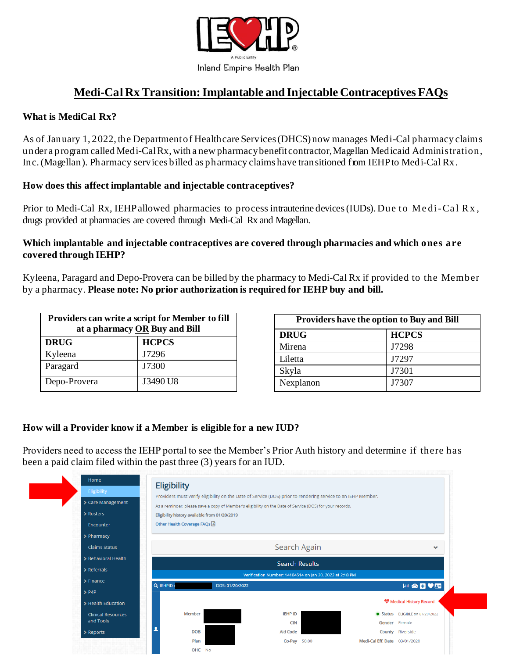

# **Medi-Cal RxTransition:Implantable and Injectable Contraceptives FAQs**

### **What is MediCal Rx?**

As of January 1, 2022, the Departmentof Healthcare Services(DHCS) now manages Medi-Cal pharmacy claims under a program called Medi-CalRx, with a new pharmacybenefit contractor,Magellan Medicaid Administration, Inc.(Magellan). Pharmacy services billed as pharmacy claims have transitioned from IEHPto Medi-Cal Rx.

#### **How does this affect implantable and injectable contraceptives?**

Prior to Medi-Cal Rx, IEHP allowed pharmacies to process intrauterine devices (IUDs). Due to Medi-Cal Rx, drugs provided at pharmacies are covered through Medi-Cal Rx and Magellan.

#### **Which implantable and injectable contraceptives are covered through pharmacies and which ones are covered through IEHP?**

Kyleena, Paragard and Depo-Provera can be billed by the pharmacy to Medi-Cal Rx if provided to the Member by a pharmacy. **Please note: No prior authorization is required for IEHP buy and bill.**

| Providers can write a script for Member to fill<br>at a pharmacy OR Buy and Bill |              |
|----------------------------------------------------------------------------------|--------------|
| <b>DRUG</b>                                                                      | <b>HCPCS</b> |
| Kyleena                                                                          | J7296        |
| Paragard                                                                         | J7300        |
| Depo-Provera                                                                     | J3490 U8     |

| <b>Providers have the option to Buy and Bill</b> |              |
|--------------------------------------------------|--------------|
| <b>DRUG</b>                                      | <b>HCPCS</b> |
| Mirena                                           | J7298        |
| Liletta                                          | J7297        |
| Skyla                                            | J7301        |
| Nexplanon                                        | J7307        |

#### **How will a Provider know if a Member is eligible for a new IUD?**

Providers need to access the IEHP portal to see the Member's Prior Auth history and determine if there has been a paid claim filed within the past three (3) years for an IUD.